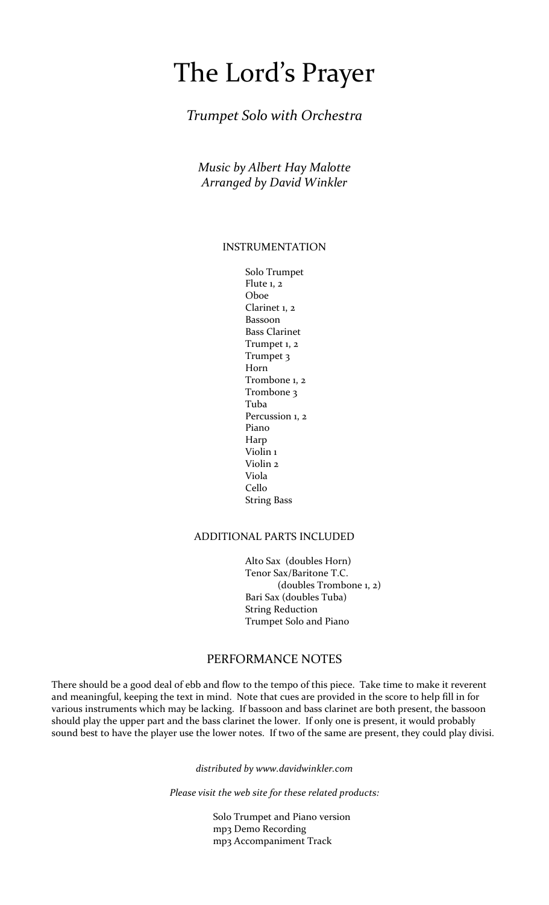# The Lord's Prayer

## *Trumpet Solo with Orchestra*

*Music by Albert Hay Malotte Arranged by David Winkler*

#### INSTRUMENTATION

 Solo Trumpet Flute 1, 2 Oboe Clarinet 1, 2 Bassoon Bass Clarinet Trumpet 1, 2 Trumpet 3 Horn Trombone 1, 2 Trombone 3 **Tuba** and the state of the state of the state of the state of the state of the state of the state of the state of the state of the state of the state of the state of the state of the state of the state of the state of the Percussion 1, 2 **Piano** Piano Piano Piano Piano Piano Piano Piano Piano Piano Piano Piano Piano Piano Piano Piano Piano Piano Piano Piano Piano Piano Piano Piano Piano Piano Piano Piano Piano Piano Piano Piano Piano Piano Piano Piano Pian Harp Violin 1 Violin 2 Viola **Cello** Cello String Bass

#### ADDITIONAL PARTS INCLUDED

 Alto Sax (doubles Horn) Tenor Sax/Baritone T.C. (doubles Trombone 1, 2) Bari Sax (doubles Tuba) String Reduction Trumpet Solo and Piano

## PERFORMANCE NOTES

There should be a good deal of ebb and flow to the tempo of this piece. Take time to make it reverent and meaningful, keeping the text in mind. Note that cues are provided in the score to help fill in for various instruments which may be lacking. If bassoon and bass clarinet are both present, the bassoon should play the upper part and the bass clarinet the lower. If only one is present, it would probably sound best to have the player use the lower notes. If two of the same are present, they could play divisi.

*distributed by www.davidwinkler.com*

*Please visit the web site for these related products:*

 Solo Trumpet and Piano version mp3 Demo Recording mp3 Accompaniment Track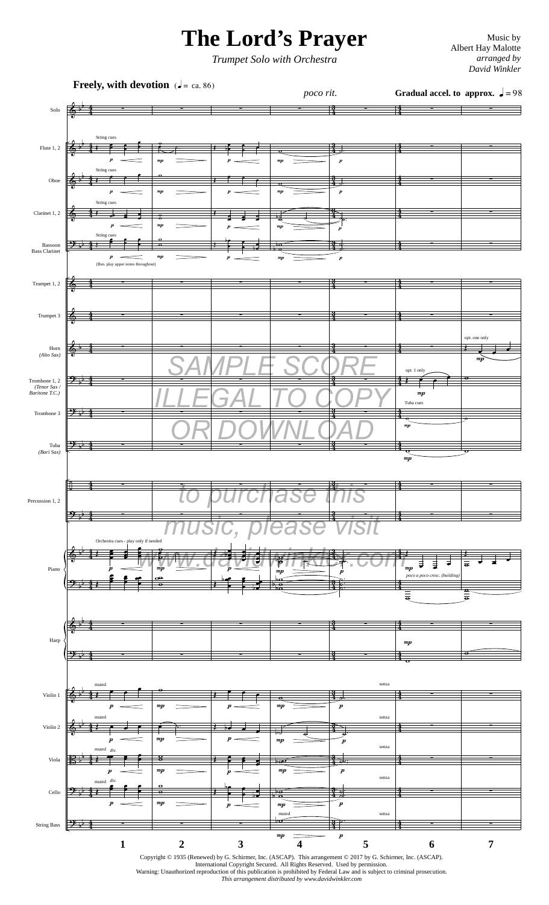## **The Lord's Prayer** Music by Music by Music by

*Trumpet Solo with Orchestra*

Albert Hay Malotte *arranged by David Winkler*



International Copyright Secured. All Rights Reserved. Used by permission. Warning: Unauthorized reproduction of this publication is prohibited by Federal Law and is subject to criminal prosecution. *This arrangement distributed by www.davidwinkler.com*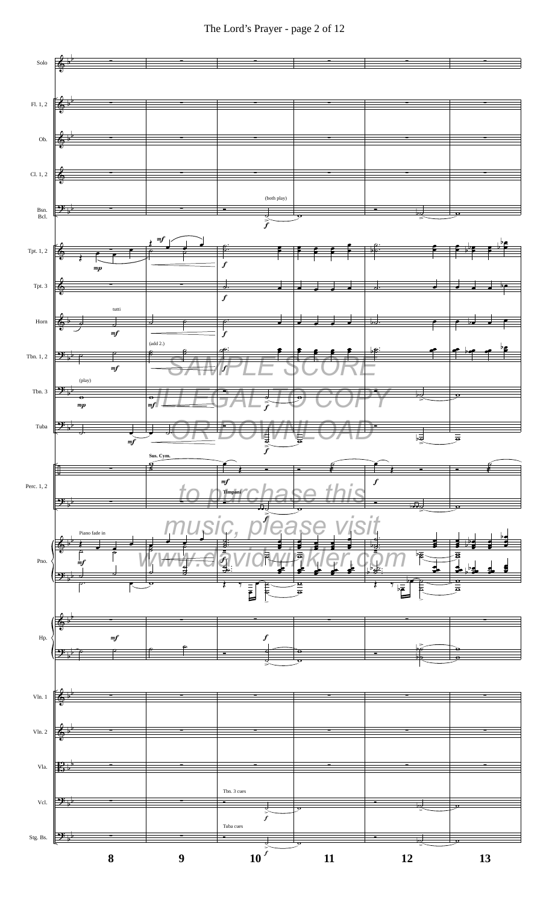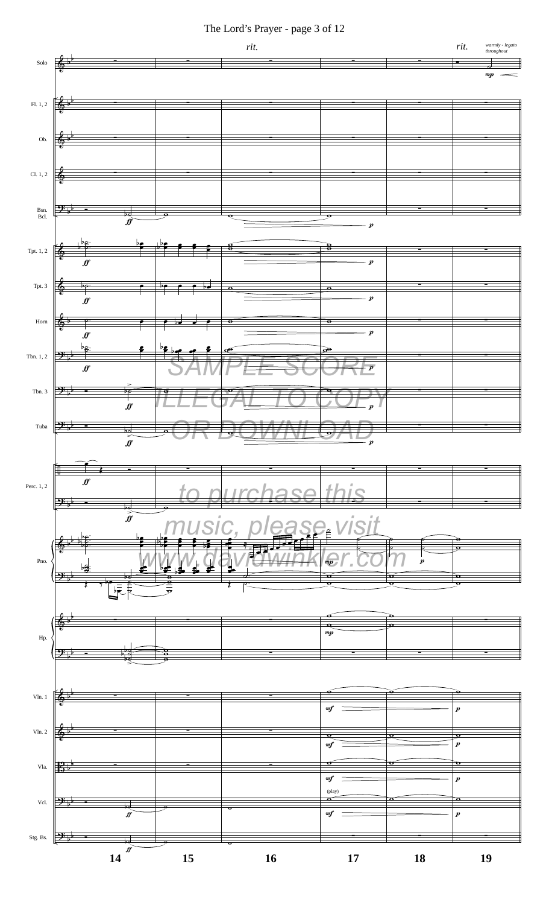The Lord's Prayer - page 3 of 12

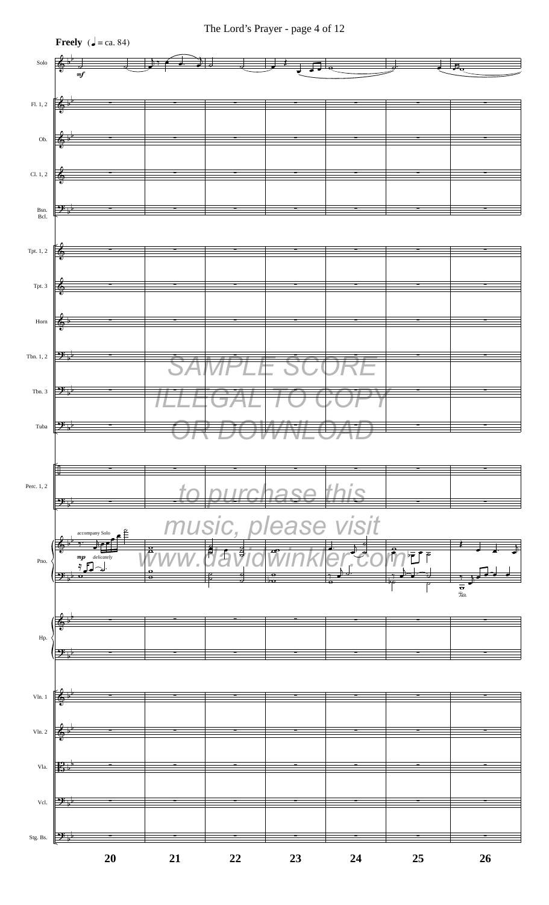

#### The Lord's Prayer - page 4 of 12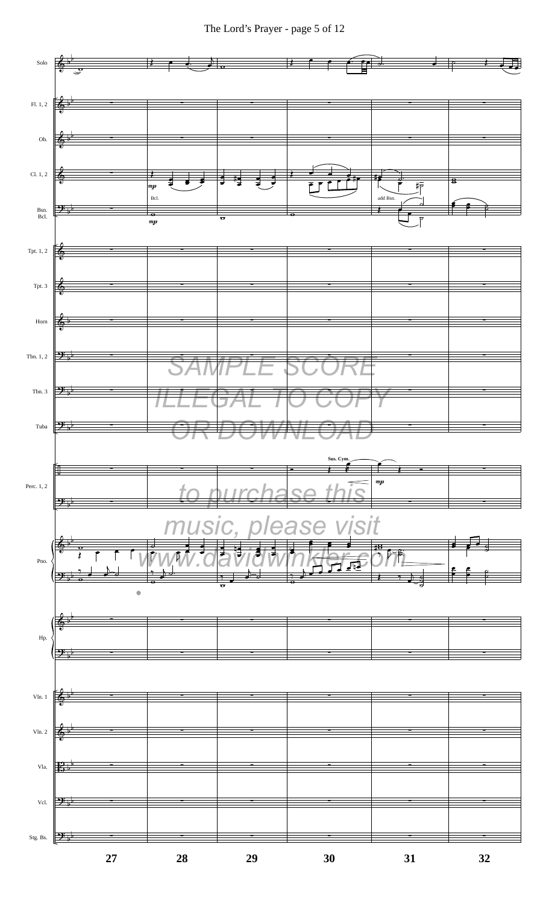The Lord's Prayer - page 5 of 12

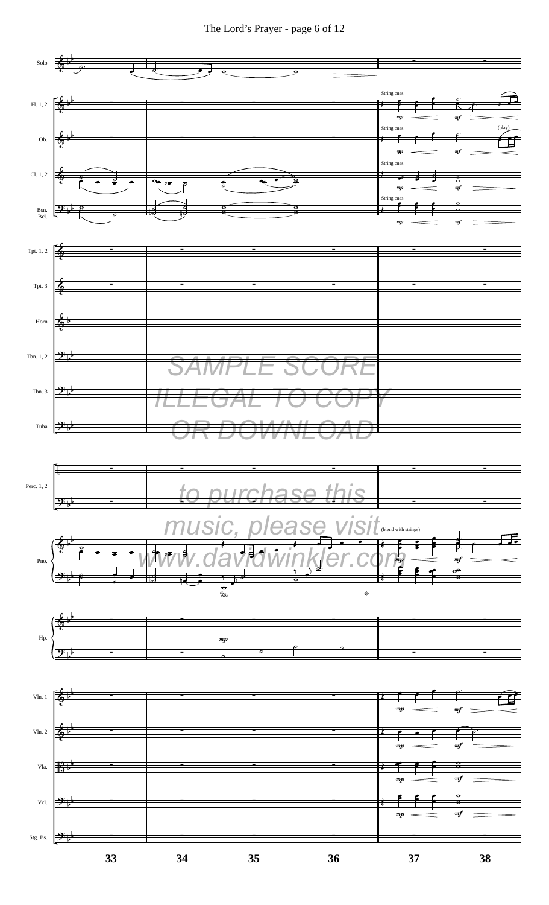The Lord's Prayer - page 6 of 12

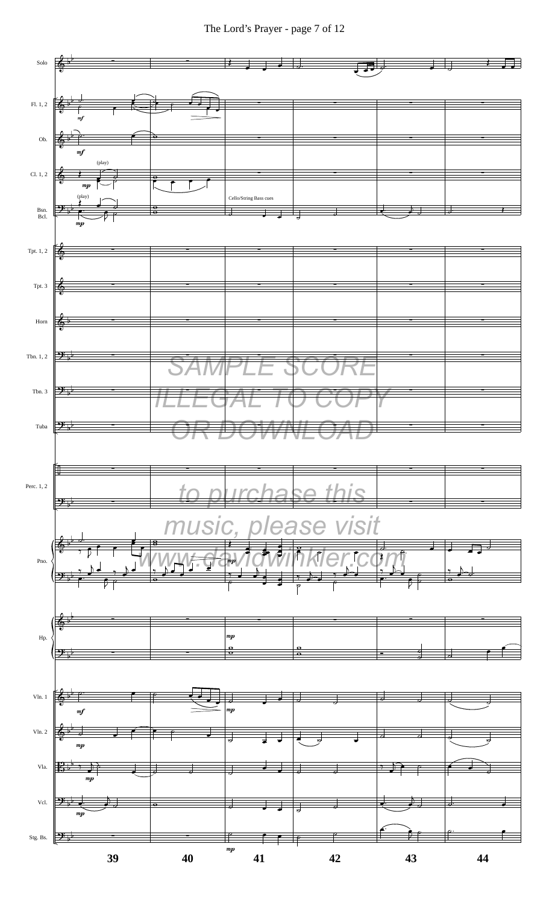The Lord's Prayer - page 7 of 12

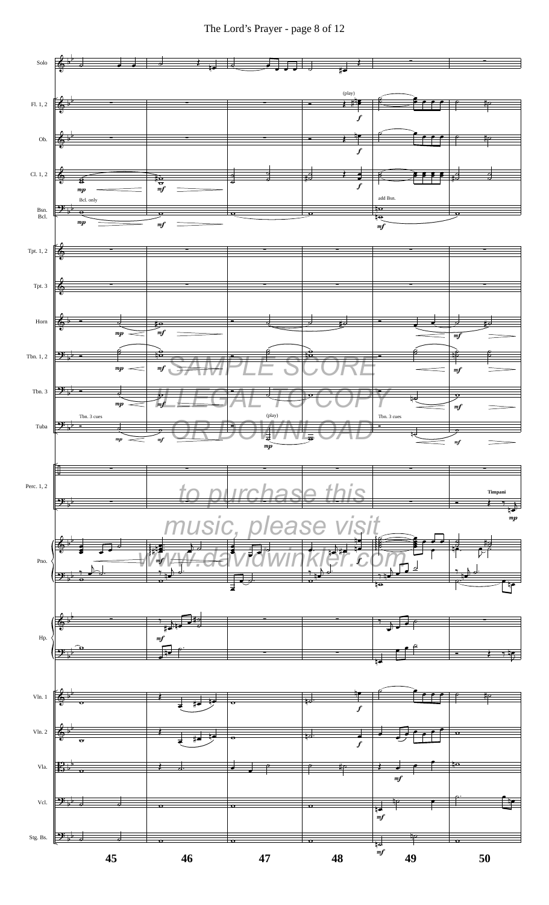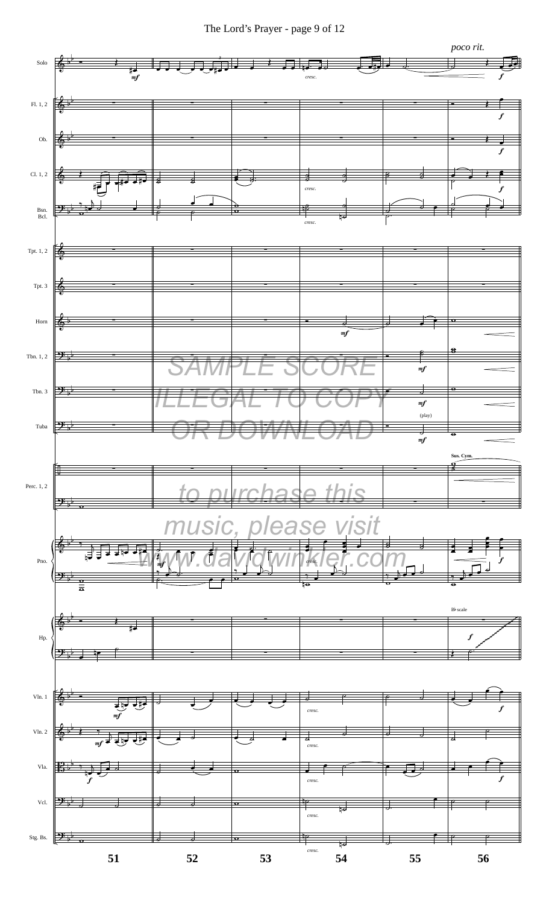The Lord's Prayer - page 9 of 12

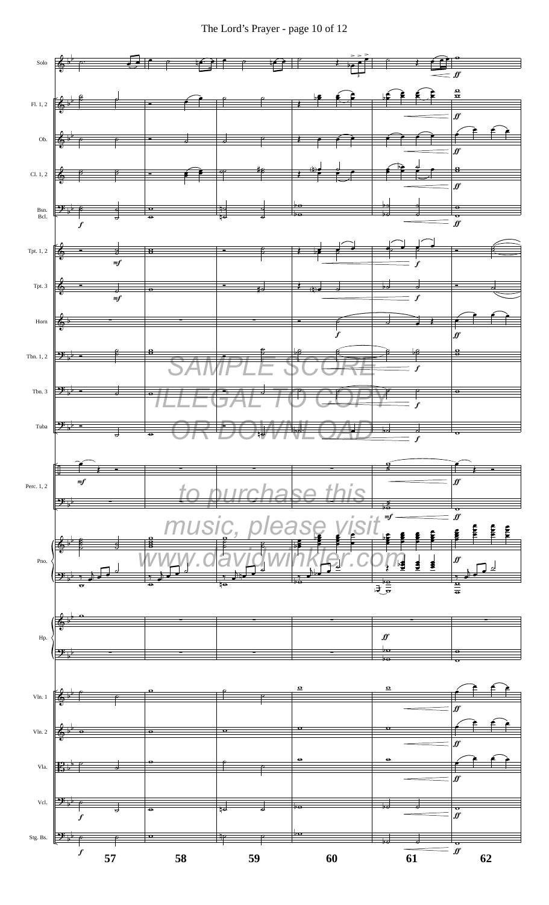The Lord's Prayer - page 10 of 12

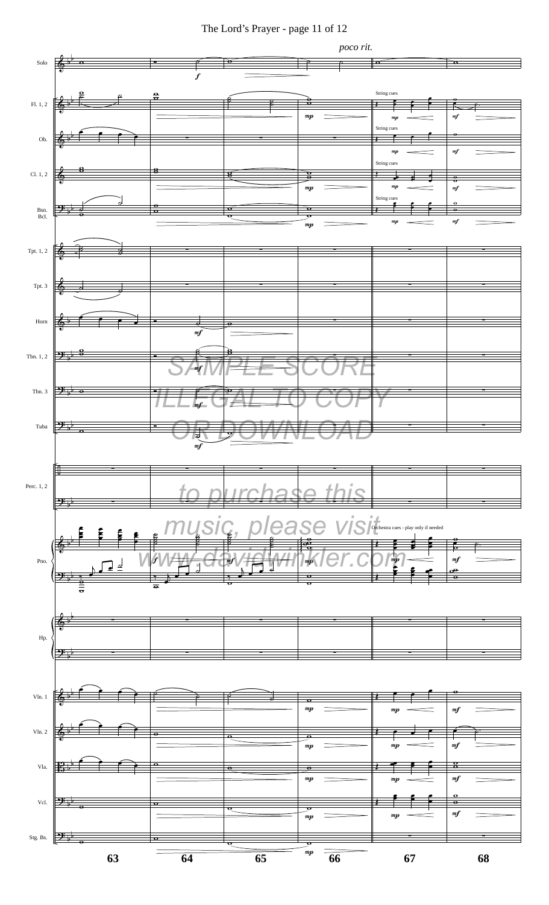### The Lord's Prayer - page 11 of 12